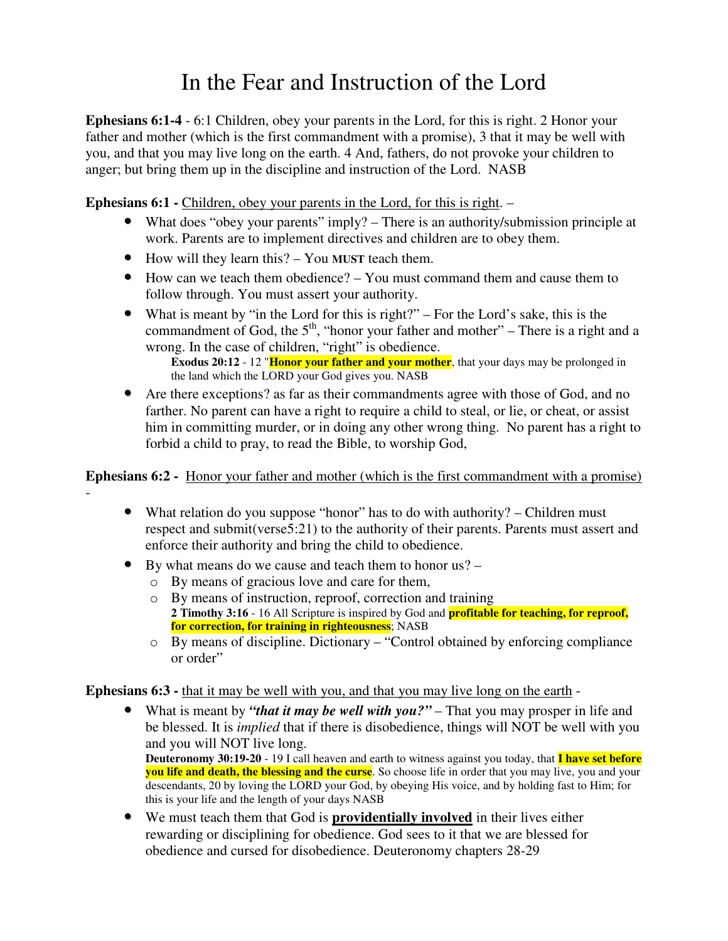## In the Fear and Instruction of the Lord

**Ephesians 6:1-4** - 6:1 Children, obey your parents in the Lord, for this is right. 2 Honor your father and mother (which is the first commandment with a promise), 3 that it may be well with you, and that you may live long on the earth. 4 And, fathers, do not provoke your children to anger; but bring them up in the discipline and instruction of the Lord. NASB

**Ephesians 6:1 -** Children, obey your parents in the Lord, for this is right. –

- What does "obey your parents" imply? There is an authority/submission principle at work. Parents are to implement directives and children are to obey them.
- How will they learn this? You **MUST** teach them.
- How can we teach them obedience? You must command them and cause them to follow through. You must assert your authority.
- What is meant by "in the Lord for this is right?" For the Lord's sake, this is the commandment of God, the  $5<sup>th</sup>$ , "honor your father and mother" – There is a right and a wrong. In the case of children, "right" is obedience.

**Exodus 20:12** - 12 "**Honor your father and your mother**, that your days may be prolonged in the land which the LORD your God gives you. NASB

• Are there exceptions? as far as their commandments agree with those of God, and no farther. No parent can have a right to require a child to steal, or lie, or cheat, or assist him in committing murder, or in doing any other wrong thing. No parent has a right to forbid a child to pray, to read the Bible, to worship God,

**Ephesians 6:2 -** Honor your father and mother (which is the first commandment with a promise)

- What relation do you suppose "honor" has to do with authority? Children must respect and submit(verse5:21) to the authority of their parents. Parents must assert and enforce their authority and bring the child to obedience.
- By what means do we cause and teach them to honor us?
	- o By means of gracious love and care for them,

-

- o By means of instruction, reproof, correction and training **2 Timothy 3:16** - 16 All Scripture is inspired by God and **profitable for teaching, for reproof, for correction, for training in righteousness**; NASB
- o By means of discipline. Dictionary "Control obtained by enforcing compliance or order"

**Ephesians 6:3 -** that it may be well with you, and that you may live long on the earth -

• What is meant by *"that it may be well with you?"* – That you may prosper in life and be blessed. It is *implied* that if there is disobedience, things will NOT be well with you and you will NOT live long.

**Deuteronomy 30:19-20** - 19 I call heaven and earth to witness against you today, that **I have set before you life and death, the blessing and the curse**. So choose life in order that you may live, you and your descendants, 20 by loving the LORD your God, by obeying His voice, and by holding fast to Him; for this is your life and the length of your days NASB

• We must teach them that God is **providentially involved** in their lives either rewarding or disciplining for obedience. God sees to it that we are blessed for obedience and cursed for disobedience. Deuteronomy chapters 28-29